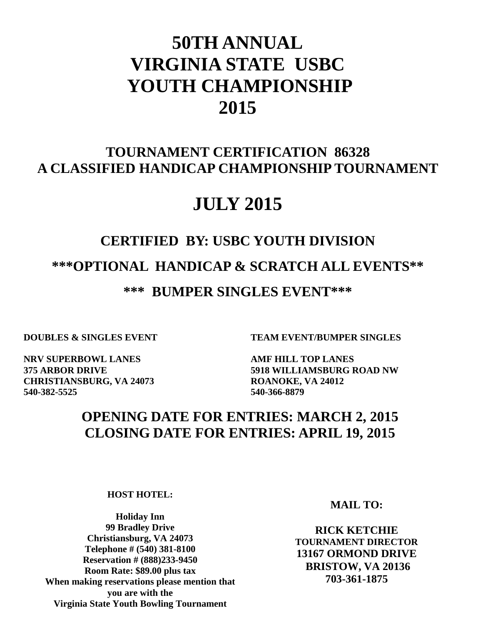# **50TH ANNUAL VIRGINIA STATE USBC YOUTH CHAMPIONSHIP 2015**

## **TOURNAMENT CERTIFICATION 86328 A CLASSIFIED HANDICAP CHAMPIONSHIP TOURNAMENT**

## **JULY 2015**

# **CERTIFIED BY: USBC YOUTH DIVISION \*\*\*OPTIONAL HANDICAP & SCRATCH ALL EVENTS\*\* \*\*\* BUMPER SINGLES EVENT\*\*\***

**NRV SUPERBOWL LANES AMF HILL TOP LANES CHRISTIANSBURG, VA 24073 ROANOKE, VA 24012 540-382-5525 540-366-8879**

**DOUBLES & SINGLES EVENT TEAM EVENT/BUMPER SINGLES**

**375 ARBOR DRIVE 5918 WILLIAMSBURG ROAD NW**

## **OPENING DATE FOR ENTRIES: MARCH 2, 2015 CLOSING DATE FOR ENTRIES: APRIL 19, 2015**

**HOST HOTEL:**

**99 Bradley Drive 4994 WESTONE PLAZA Telephone # (540) 381-8100 Reservation # (888)233-9450 703-961-8160 Room Rate: \$89.00 plus tax you are with the Holiday Inn Christiansburg, VA 24073 When making reservations please mention that Virginia State Youth Bowling Tournament**

**MAIL TO:**

**RICK KETCHIE TOURNAMENT DIRECTOR 13167 ORMOND DRIVE BRISTOW, VA 20136 703-361-1875**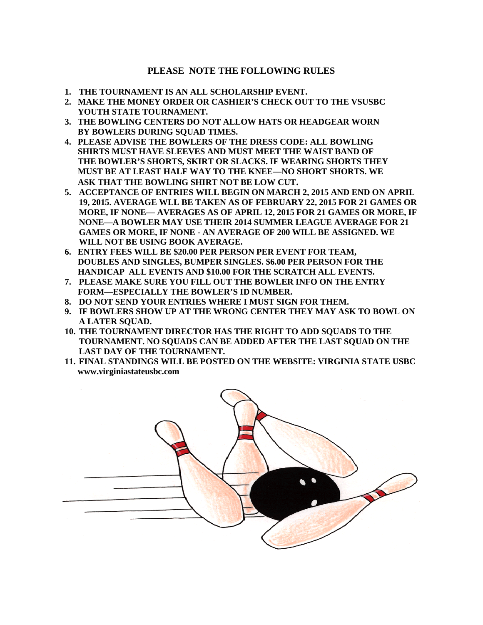### **PLEASE NOTE THE FOLLOWING RULES**

- **1. THE TOURNAMENT IS AN ALL SCHOLARSHIP EVENT.**
- **2. MAKE THE MONEY ORDER OR CASHIER'S CHECK OUT TO THE VSUSBC YOUTH STATE TOURNAMENT.**
- **3. THE BOWLING CENTERS DO NOT ALLOW HATS OR HEADGEAR WORN BY BOWLERS DURING SQUAD TIMES.**
- **4. PLEASE ADVISE THE BOWLERS OF THE DRESS CODE: ALL BOWLING SHIRTS MUST HAVE SLEEVES AND MUST MEET THE WAIST BAND OF THE BOWLER'S SHORTS, SKIRT OR SLACKS. IF WEARING SHORTS THEY MUST BE AT LEAST HALF WAY TO THE KNEE—NO SHORT SHORTS. WE ASK THAT THE BOWLING SHIRT NOT BE LOW CUT.**
- **5. ACCEPTANCE OF ENTRIES WILL BEGIN ON MARCH 2, 2015 AND END ON APRIL 19, 2015. AVERAGE WLL BE TAKEN AS OF FEBRUARY 22, 2015 FOR 21 GAMES OR MORE, IF NONE— AVERAGES AS OF APRIL 12, 2015 FOR 21 GAMES OR MORE, IF NONE—A BOWLER MAY USE THEIR 2014 SUMMER LEAGUE AVERAGE FOR 21 GAMES OR MORE, IF NONE - AN AVERAGE OF 200 WILL BE ASSIGNED. WE WILL NOT BE USING BOOK AVERAGE.**
- **6. ENTRY FEES WILL BE \$20.00 PER PERSON PER EVENT FOR TEAM, DOUBLES AND SINGLES, BUMPER SINGLES. \$6.00 PER PERSON FOR THE HANDICAP ALL EVENTS AND \$10.00 FOR THE SCRATCH ALL EVENTS.**
- **7. PLEASE MAKE SURE YOU FILL OUT THE BOWLER INFO ON THE ENTRY FORM—ESPECIALLY THE BOWLER'S ID NUMBER.**
- **8. DO NOT SEND YOUR ENTRIES WHERE I MUST SIGN FOR THEM.**
- **9. IF BOWLERS SHOW UP AT THE WRONG CENTER THEY MAY ASK TO BOWL ON A LATER SQUAD.**
- **10. THE TOURNAMENT DIRECTOR HAS THE RIGHT TO ADD SQUADS TO THE TOURNAMENT. NO SQUADS CAN BE ADDED AFTER THE LAST SQUAD ON THE LAST DAY OF THE TOURNAMENT.**
- **11. FINAL STANDINGS WILL BE POSTED ON THE WEBSITE: VIRGINIA STATE USBC www.virginiastateusbc.com**

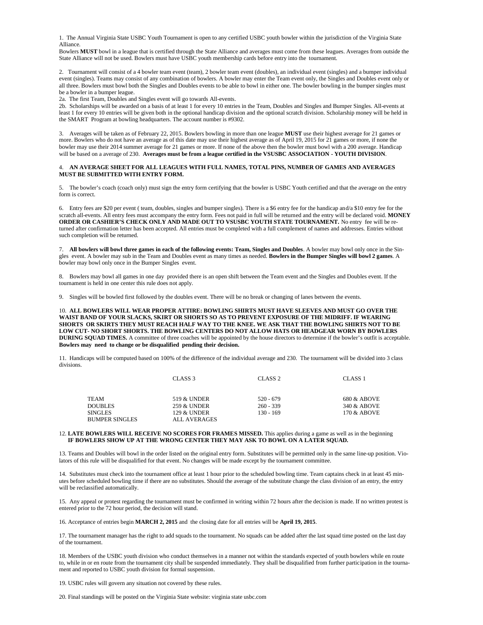1. The Annual Virginia State USBC Youth Tournament is open to any certified USBC youth bowler within the jurisdiction of the Virginia State Alliance.

Bowlers **MUST** bowl in a league that is certified through the State Alliance and averages must come from these leagues. Averages from outside the State Alliance will not be used. Bowlers must have USBC youth membership cards before entry into the tournament.

2. Tournament will consist of a 4 bowler team event (team), 2 bowler team event (doubles), an individual event (singles) and a bumper individual event (singles). Teams may consist of any combination of bowlers. A bowler may enter the Team event only, the Singles and Doubles event only or all three. Bowlers must bowl both the Singles and Doubles events to be able to bowl in either one. The bowler bowling in the bumper singles must be a bowler in a bumper league.

2a. The first Team, Doubles and Singles event will go towards All-events.

2b. Scholarships will be awarded on a basis of at least 1 for every 10 entries in the Team, Doubles and Singles and Bumper Singles. All-events at least 1 for every 10 entries will be given both in the optional handicap division and the optional scratch division. Scholarship money will be held in the SMART Program at bowling headquarters. The account number is #9302.

3. Averages will be taken as of February 22, 2015. Bowlers bowling in more than one league **MUST** use their highest average for 21 games or more. Bowlers who do not have an average as of this date may use their highest average as of April 19, 2015 for 21 games or more, if none the bowler may use their 2014 summer average for 21 games or more. If none of the above then the bowler must bowl with a 200 average. Handicap will be based on a average of 230. **Averages must be from a league certified in the VSUSBC ASSOCIATION - YOUTH DIVISION**.

#### 4. **AN AVERAGE SHEET FOR ALL LEAGUES WITH FULL NAMES, TOTAL PINS, NUMBER OF GAMES AND AVERAGES MUST BE SUBMITTED WITH ENTRY FORM.**

5. The bowler's coach (coach only) must sign the entry form certifying that the bowler is USBC Youth certified and that the average on the entry form is correct.

6. Entry fees are \$20 per event ( team, doubles, singles and bumper singles). There is a \$6 entry fee for the handicap and/a \$10 entry fee for the scratch all-events. All entry fees must accompany the entry form. Fees not paid in full will be returned and the entry will be declared void. **MONEY ORDER OR CASHIER'S CHECK ONLY AND MADE OUT TO VSUSBC YOUTH STATE TOURNAMENT.** No entry fee will be returned after confirmation letter has been accepted. All entries must be completed with a full complement of names and addresses. Entries without such completion will be returned.

7. **All bowlers will bowl three games in each of the following events: Team, Singles and Doubles**. A bowler may bowl only once in the Singles event. A bowler may sub in the Team and Doubles event as many times as needed. **Bowlers in the Bumper Singles will bowl 2 games**. A bowler may bowl only once in the Bumper Singles event.

8. Bowlers may bowl all games in one day provided there is an open shift between the Team event and the Singles and Doubles event. If the tournament is held in one center this rule does not apply.

9. Singles will be bowled first followed by the doubles event. There will be no break or changing of lanes between the events.

10. **ALL BOWLERS WILL WEAR PROPER ATTIRE: BOWLING SHIRTS MUST HAVE SLEEVES AND MUST GO OVER THE WAIST BAND OF YOUR SLACKS, SKIRT OR SHORTS SO AS TO PREVENT EXPOSURE OF THE MIDRIFF. IF WEARING SHORTS OR SKIRTS THEY MUST REACH HALF WAY TO THE KNEE. WE ASK THAT THE BOWLING SHIRTS NOT TO BE LOW CUT- NO SHORT SHORTS. THE BOWLING CENTERS DO NOT ALLOW HATS OR HEADGEAR WORN BY BOWLERS DURING SQUAD TIMES.** A committee of three coaches will be appointed by the house directors to determine if the bowler's outfit is acceptable. **Bowlers may need to change or be disqualified pending their decision.**

11. Handicaps will be computed based on 100% of the difference of the individual average and 230. The tournament will be divided into 3 class divisions.

|                | CLASS 3      | CLASS <sub>2</sub> | CLASS <sub>1</sub> |
|----------------|--------------|--------------------|--------------------|
|                |              |                    |                    |
| TEAM           | 519 & UNDER  | $520 - 679$        | 680 & ABOVE        |
| <b>DOUBLES</b> | 259 & UNDER  | $260 - 339$        | 340 & ABOVE        |
| SINGLES        | 129 & UNDER  | $130 - 169$        | 170 & ABOVE        |
| BUMPER SINGLES | ALL AVERAGES |                    |                    |

#### 12. **LATE BOWLERS WILL RECEIVE NO SCORES FOR FRAMES MISSED.** This applies during a game as well as in the beginning **IF BOWLERS SHOW UP AT THE WRONG CENTER THEY MAY ASK TO BOWL ON A LATER SQUAD.**

13. Teams and Doubles will bowl in the order listed on the original entry form. Substitutes will be permitted only in the same line-up position. Violators of this rule will be disqualified for that event. No changes will be made except by the tournament committee.

14. Substitutes must check into the tournament office at least 1 hour prior to the scheduled bowling time. Team captains check in at least 45 minutes before scheduled bowling time if there are no substitutes. Should the average of the substitute change the class division of an entry, the entry will be reclassified automatically.

15. Any appeal or protest regarding the tournament must be confirmed in writing within 72 hours after the decision is made. If no written protest is entered prior to the 72 hour period, the decision will stand.

16. Acceptance of entries begin **MARCH 2, 2015** and the closing date for all entries will be **April 19, 2015**.

17. The tournament manager has the right to add squads to the tournament. No squads can be added after the last squad time posted on the last day of the tournament.

18. Members of the USBC youth division who conduct themselves in a manner not within the standards expected of youth bowlers while en route to, while in or en route from the tournament city shall be suspended immediately. They shall be disqualified from further participation in the tournament and reported to USBC youth division for formal suspension.

19. USBC rules will govern any situation not covered by these rules.

20. Final standings will be posted on the Virginia State website: virginia state usbc.com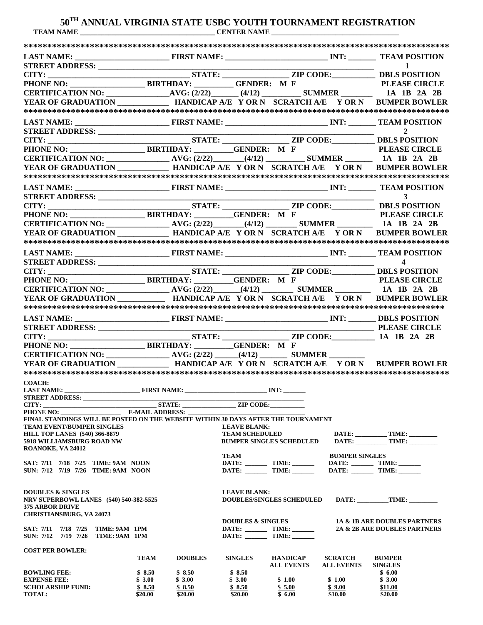### **50TH ANNUAL VIRGINIA STATE USBC YOUTH TOURNAMENT REGISTRATION TEAM NAME \_\_\_\_\_\_\_\_\_\_\_\_\_\_\_\_\_\_\_\_\_\_\_\_\_\_\_\_\_\_\_\_\_\_\_\_\_\_ CENTER NAME** \_\_\_\_\_\_\_\_\_\_\_\_\_\_\_\_\_\_\_\_\_\_\_\_\_\_\_\_\_\_\_\_\_\_\_\_

| STREET ADDRESS:<br>CITY:<br>PHONE NO: BIRTHDAY: THE: THE: THE: THE CODE: THE PLEASE CIRCLE<br>CERTIFICATION NO: BIRTHDAY: THE CERTIFICATION NO: THE AVG: (2/22)<br>AVG: (2/22) (4/12) SUMMER 1A 1B 2A 2B                           |                        |                   |                                  |                   |                       |                                    |
|------------------------------------------------------------------------------------------------------------------------------------------------------------------------------------------------------------------------------------|------------------------|-------------------|----------------------------------|-------------------|-----------------------|------------------------------------|
|                                                                                                                                                                                                                                    |                        |                   |                                  |                   |                       |                                    |
|                                                                                                                                                                                                                                    |                        |                   |                                  |                   |                       |                                    |
|                                                                                                                                                                                                                                    |                        |                   |                                  |                   |                       |                                    |
| YEAR OF GRADUATION HANDICAP A/E Y OR N SCRATCH A/E Y OR N BUMPER BOWLER                                                                                                                                                            |                        |                   |                                  |                   |                       |                                    |
|                                                                                                                                                                                                                                    |                        |                   |                                  |                   |                       |                                    |
|                                                                                                                                                                                                                                    |                        |                   |                                  |                   |                       |                                    |
| STREET ADDRESS:<br>CITY: STATE: ZIP CODE: BIRTHDAY: ZIP CODE: BIRTHDAY: ZIP CODE: BIRTHDAY: BIRTHDAY: ZIP CODE: BIRTHDAY: ZIP CODE: BIRTHDAY: AVG: (2/22) (4/12) BILS POSITION<br>CERTIFICATION NO: AVG: (2/22) (4/12) SUMMER SURE |                        |                   |                                  |                   |                       |                                    |
|                                                                                                                                                                                                                                    |                        |                   |                                  |                   |                       |                                    |
|                                                                                                                                                                                                                                    |                        |                   |                                  |                   |                       |                                    |
|                                                                                                                                                                                                                                    |                        |                   |                                  |                   |                       |                                    |
|                                                                                                                                                                                                                                    |                        |                   |                                  |                   |                       |                                    |
|                                                                                                                                                                                                                                    |                        |                   |                                  |                   |                       |                                    |
|                                                                                                                                                                                                                                    |                        |                   |                                  |                   |                       |                                    |
|                                                                                                                                                                                                                                    |                        |                   |                                  |                   |                       |                                    |
|                                                                                                                                                                                                                                    |                        |                   |                                  |                   |                       |                                    |
| STREET ADDRESS:<br>CITY: STATE: ZIP CODE: DBLS POSITION<br>PHONE NO: BIRTHDAY: GENDER: M F<br>CERTIFICATION NO: AVG: (2/22) (4/12) SUMMER 1A 1B 2A 2B<br>MVG: (2/22) (4/12) SUMMER 1A 1B 2A 2B                                     |                        |                   |                                  |                   |                       |                                    |
|                                                                                                                                                                                                                                    |                        |                   |                                  |                   |                       |                                    |
|                                                                                                                                                                                                                                    |                        |                   |                                  |                   |                       |                                    |
|                                                                                                                                                                                                                                    |                        |                   |                                  |                   |                       |                                    |
|                                                                                                                                                                                                                                    |                        |                   |                                  |                   |                       |                                    |
|                                                                                                                                                                                                                                    |                        |                   |                                  |                   |                       |                                    |
|                                                                                                                                                                                                                                    |                        |                   |                                  |                   |                       |                                    |
| STREET ADDRESS:<br>CITY: STATE: STATE: ZIP CODE: 1A 1B 2A 2B<br>PHONE NO: BIRTHDAY: GENDER: M F<br>STATE: CITY: STATE: THONE NO:                                                                                                   |                        |                   |                                  |                   |                       |                                    |
|                                                                                                                                                                                                                                    |                        |                   |                                  |                   |                       |                                    |
|                                                                                                                                                                                                                                    |                        |                   |                                  |                   |                       |                                    |
|                                                                                                                                                                                                                                    |                        |                   |                                  |                   |                       |                                    |
| <b>COACH:</b>                                                                                                                                                                                                                      |                        |                   |                                  |                   |                       |                                    |
| STREET ADDRESS:                                                                                                                                                                                                                    |                        |                   |                                  |                   |                       |                                    |
| STATE:<br>CITY:                                                                                                                                                                                                                    |                        |                   | ZIP CODE:                        |                   |                       |                                    |
| PHONE NO:                                                                                                                                                                                                                          | <b>E-MAIL ADDRESS:</b> |                   |                                  |                   |                       |                                    |
| FINAL STANDINGS WILL BE POSTED ON THE WEBSITE WITHIN 30 DAYS AFTER THE TOURNAMENT<br><b>TEAM EVENT/BUMPER SINGLES</b>                                                                                                              |                        |                   | <b>LEAVE BLANK:</b>              |                   |                       |                                    |
| <b>HILL TOP LANES (540) 366-8879</b>                                                                                                                                                                                               |                        |                   | <b>TEAM SCHEDULED</b>            |                   |                       |                                    |
| 5918 WILLIAMSBURG ROAD NW                                                                                                                                                                                                          |                        |                   | <b>BUMPER SINGLES SCHEDULED</b>  |                   |                       | DATE: _____________TIME: _________ |
| ROANOKE, VA 24012                                                                                                                                                                                                                  |                        |                   |                                  |                   |                       |                                    |
| SAT: 7/11 7/18 7/25 TIME: 9AM NOON                                                                                                                                                                                                 |                        |                   | TEAM                             |                   | <b>BUMPER SINGLES</b> |                                    |
| SUN: 7/12 7/19 7/26 TIME: 9AM NOON                                                                                                                                                                                                 |                        |                   |                                  |                   |                       | DATE: _________ TIME: _______      |
|                                                                                                                                                                                                                                    |                        |                   |                                  |                   |                       |                                    |
|                                                                                                                                                                                                                                    |                        |                   |                                  |                   |                       |                                    |
| <b>DOUBLES &amp; SINGLES</b><br>NRV SUPERBOWL LANES (540) 540-382-5525                                                                                                                                                             |                        |                   | <b>LEAVE BLANK:</b>              |                   |                       | DATE: TIME:                        |
|                                                                                                                                                                                                                                    |                        |                   |                                  |                   |                       |                                    |
| <b>375 ARBOR DRIVE</b>                                                                                                                                                                                                             |                        |                   | <b>DOUBLES/SINGLES SCHEDULED</b> |                   |                       |                                    |
| <b>CHRISTIANSBURG, VA 24073</b>                                                                                                                                                                                                    |                        |                   |                                  |                   |                       |                                    |
|                                                                                                                                                                                                                                    |                        |                   | <b>DOUBLES &amp; SINGLES</b>     |                   |                       | 1A & 1B ARE DOUBLES PARTNERS       |
| SAT: 7/11 7/18 7/25 TIME: 9AM 1PM                                                                                                                                                                                                  |                        |                   |                                  |                   |                       | 2A & 2B ARE DOUBLES PARTNERS       |
| SUN: 7/12 7/19 7/26<br>TIME: 9AM 1PM                                                                                                                                                                                               |                        |                   |                                  |                   |                       |                                    |
| <b>COST PER BOWLER:</b>                                                                                                                                                                                                            |                        |                   |                                  |                   |                       |                                    |
|                                                                                                                                                                                                                                    | TEAM                   | <b>DOUBLES</b>    | <b>SINGLES</b>                   | <b>HANDICAP</b>   | <b>SCRATCH</b>        | <b>BUMPER</b>                      |
|                                                                                                                                                                                                                                    |                        |                   |                                  | <b>ALL EVENTS</b> | <b>ALL EVENTS</b>     | <b>SINGLES</b>                     |
| <b>BOWLING FEE:</b><br><b>EXPENSE FEE:</b>                                                                                                                                                                                         | \$8.50<br>\$3.00       | \$8.50<br>\$3.00  | \$8.50<br>\$3.00                 | \$1.00            | \$1.00                | \$6.00<br>\$3.00                   |
| <b>SCHOLARSHIP FUND:</b><br><b>TOTAL:</b>                                                                                                                                                                                          | \$8.50<br>\$20.00      | \$8.50<br>\$20.00 | \$8.50<br>\$20.00                | \$5.00<br>\$6.00  | \$9.00<br>\$10.00     | \$11.00<br>\$20.00                 |